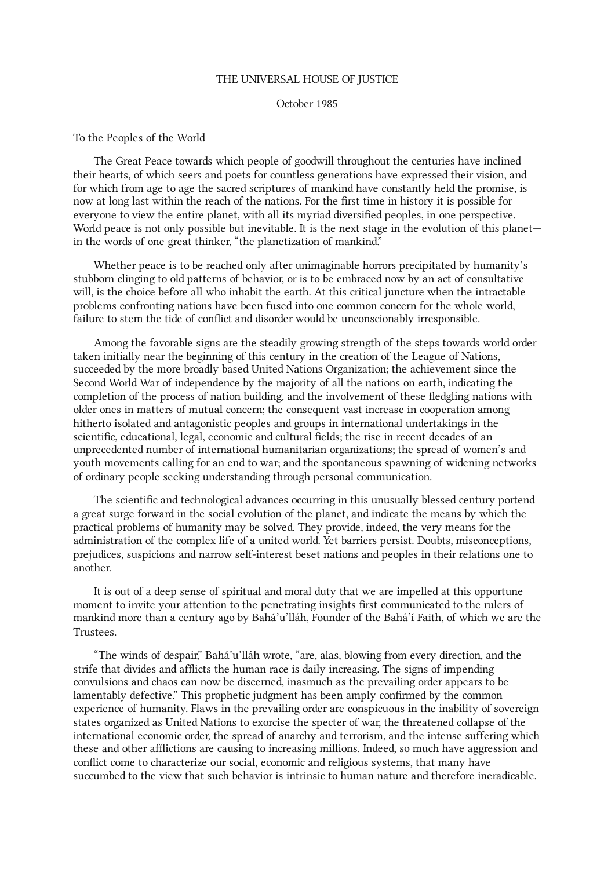## THE UNIVERSAL HOUSE OF JUSTICE

## October 1985

## To the Peoples of the World

The Great Peace towards which people of goodwill throughout the centuries have inclined their hearts, of which seers and poets for countless generations have expressed their vision, and for which from age to age the sacred scriptures of mankind have constantly held the promise, is now at long last within the reach of the nations. For the first time in history it is possible for everyone to view the entire planet, with all its myriad diversified peoples, in one perspective. World peace is not only possible but inevitable. It is the next stage in the evolution of this planet in the words of one great thinker, "the planetization of mankind."

Whether peace is to be reached only after unimaginable horrors precipitated by humanity's stubborn clinging to old patterns of behavior, or is to be embraced now by an act of consultative will, is the choice before all who inhabit the earth. At this critical juncture when the intractable problems confronting nations have been fused into one common concern for the whole world, failure to stem the tide of conflict and disorder would be unconscionably irresponsible.

Among the favorable signs are the steadily growing strength of the steps towards world order taken initially near the beginning of this century in the creation of the League of Nations, succeeded by the more broadly based United Nations Organization; the achievement since the Second World War of independence by the majority of all the nations on earth, indicating the completion of the process of nation building, and the involvement of these fledgling nations with older ones in matters of mutual concern; the consequent vast increase in cooperation among hitherto isolated and antagonistic peoples and groups in international undertakings in the scientific, educational, legal, economic and cultural fields; the rise in recent decades of an unprecedented number of international humanitarian organizations; the spread of women's and youth movements calling for an end to war; and the spontaneous spawning of widening networks of ordinary people seeking understanding through personal communication.

The scientific and technological advances occurring in this unusually blessed century portend a great surge forward in the social evolution of the planet, and indicate the means by which the practical problems of humanity may be solved. They provide, indeed, the very means for the administration of the complex life of a united world. Yet barriers persist. Doubts, misconceptions, prejudices, suspicions and narrow self-interest beset nations and peoples in their relations one to another.

It is out of a deep sense of spiritual and moral duty that we are impelled at this opportune moment to invite your attention to the penetrating insights first communicated to the rulers of mankind more than a century ago by Bahá'u'lláh, Founder of the Bahá'í Faith, of which we are the Trustees.

"The winds of despair," Bahá'u'lláh wrote, "are, alas, blowing from every direction, and the strife that divides and afflicts the human race is daily increasing. The signs of impending convulsions and chaos can now be discerned, inasmuch as the prevailing order appears to be lamentably defective." This prophetic judgment has been amply confirmed by the common experience of humanity. Flaws in the prevailing order are conspicuous in the inability of sovereign states organized as United Nations to exorcise the specter of war, the threatened collapse of the international economic order, the spread of anarchy and terrorism, and the intense suffering which these and other afflictions are causing to increasing millions. Indeed, so much have aggression and conflict come to characterize our social, economic and religious systems, that many have succumbed to the view that such behavior is intrinsic to human nature and therefore ineradicable.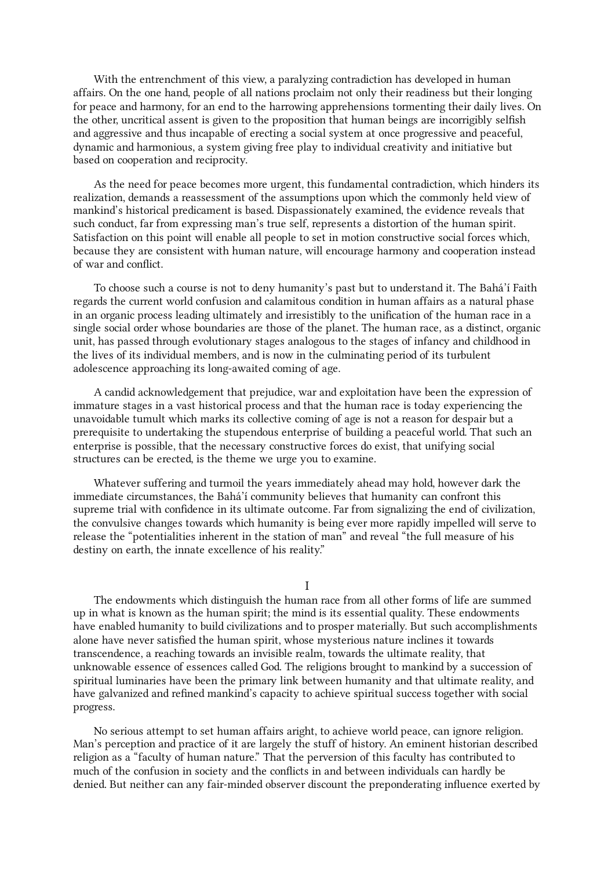With the entrenchment of this view, a paralyzing contradiction has developed in human affairs. On the one hand, people of all nations proclaim not only their readiness but their longing for peace and harmony, for an end to the harrowing apprehensions tormenting their daily lives. On the other, uncritical assent is given to the proposition that human beings are incorrigibly selfish and aggressive and thus incapable of erecting a social system at once progressive and peaceful, dynamic and harmonious, a system giving free play to individual creativity and initiative but based on cooperation and reciprocity.

As the need for peace becomes more urgent, this fundamental contradiction, which hinders its realization, demands a reassessment of the assumptions upon which the commonly held view of mankind's historical predicament is based. Dispassionately examined, the evidence reveals that such conduct, far from expressing man's true self, represents a distortion of the human spirit. Satisfaction on this point will enable all people to set in motion constructive social forces which, because they are consistent with human nature, will encourage harmony and cooperation instead of war and conflict.

To choose such a course is not to deny humanity's past but to understand it. The Bahá'í Faith regards the current world confusion and calamitous condition in human affairs as a natural phase in an organic process leading ultimately and irresistibly to the unification of the human race in a single social order whose boundaries are those of the planet. The human race, as a distinct, organic unit, has passed through evolutionary stages analogous to the stages of infancy and childhood in the lives of its individual members, and is now in the culminating period of its turbulent adolescence approaching its long-awaited coming of age.

A candid acknowledgement that prejudice, war and exploitation have been the expression of immature stages in a vast historical process and that the human race is today experiencing the unavoidable tumult which marks its collective coming of age is not a reason for despair but a prerequisite to undertaking the stupendous enterprise of building a peaceful world. That such an enterprise is possible, that the necessary constructive forces do exist, that unifying social structures can be erected, is the theme we urge you to examine.

Whatever suffering and turmoil the years immediately ahead may hold, however dark the immediate circumstances, the Bahá'í community believes that humanity can confront this supreme trial with confidence in its ultimate outcome. Far from signalizing the end of civilization, the convulsive changes towards which humanity is being ever more rapidly impelled will serve to release the "potentialities inherent in the station of man" and reveal "the full measure of his destiny on earth, the innate excellence of his reality."

I

The endowments which distinguish the human race from all other forms of life are summed up in what is known as the human spirit; the mind is its essential quality. These endowments have enabled humanity to build civilizations and to prosper materially. But such accomplishments alone have never satisfied the human spirit, whose mysterious nature inclines it towards transcendence, a reaching towards an invisible realm, towards the ultimate reality, that unknowable essence of essences called God. The religions brought to mankind by a succession of spiritual luminaries have been the primary link between humanity and that ultimate reality, and have galvanized and refined mankind's capacity to achieve spiritual success together with social progress.

No serious attempt to set human affairs aright, to achieve world peace, can ignore religion. Man's perception and practice of it are largely the stuff of history. An eminent historian described religion as a "faculty of human nature." That the perversion of this faculty has contributed to much of the confusion in society and the conflicts in and between individuals can hardly be denied. But neither can any fair-minded observer discount the preponderating influence exerted by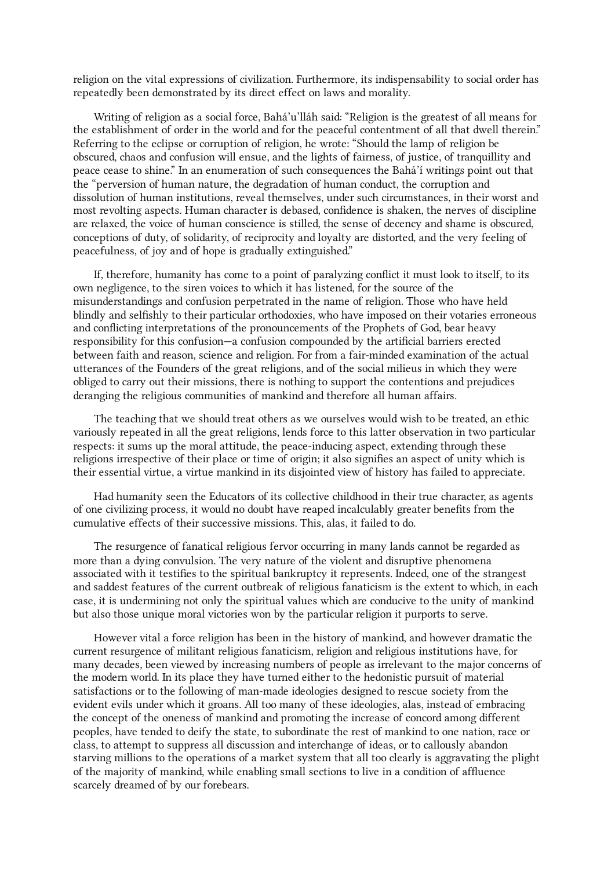religion on the vital expressions of civilization. Furthermore, its indispensability to social order has repeatedly been demonstrated by its direct effect on laws and morality.

Writing of religion as a social force, Bahá'u'lláh said: "Religion is the greatest of all means for the establishment of order in the world and for the peaceful contentment of all that dwell therein." Referring to the eclipse or corruption of religion, he wrote: "Should the lamp of religion be obscured, chaos and confusion will ensue, and the lights of fairness, of justice, of tranquillity and peace cease to shine." In an enumeration of such consequences the Bahá'í writings point out that the "perversion of human nature, the degradation of human conduct, the corruption and dissolution of human institutions, reveal themselves, under such circumstances, in their worst and most revolting aspects. Human character is debased, confidence is shaken, the nerves of discipline are relaxed, the voice of human conscience is stilled, the sense of decency and shame is obscured, conceptions of duty, of solidarity, of reciprocity and loyalty are distorted, and the very feeling of peacefulness, of joy and of hope is gradually extinguished."

If, therefore, humanity has come to a point of paralyzing conflict it must look to itself, to its own negligence, to the siren voices to which it has listened, for the source of the misunderstandings and confusion perpetrated in the name of religion. Those who have held blindly and selfishly to their particular orthodoxies, who have imposed on their votaries erroneous and conflicting interpretations of the pronouncements of the Prophets of God, bear heavy responsibility for this confusion—a confusion compounded by the artificial barriers erected between faith and reason, science and religion. For from a fair-minded examination of the actual utterances of the Founders of the great religions, and of the social milieus in which they were obliged to carry out their missions, there is nothing to support the contentions and prejudices deranging the religious communities of mankind and therefore all human affairs.

The teaching that we should treat others as we ourselves would wish to be treated, an ethic variously repeated in all the great religions, lends force to this latter observation in two particular respects: it sums up the moral attitude, the peace-inducing aspect, extending through these religions irrespective of their place or time of origin; it also signifies an aspect of unity which is their essential virtue, a virtue mankind in its disjointed view of history has failed to appreciate.

Had humanity seen the Educators of its collective childhood in their true character, as agents of one civilizing process, it would no doubt have reaped incalculably greater benefits from the cumulative effects of their successive missions. This, alas, it failed to do.

The resurgence of fanatical religious fervor occurring in many lands cannot be regarded as more than a dying convulsion. The very nature of the violent and disruptive phenomena associated with it testifies to the spiritual bankruptcy it represents. Indeed, one of the strangest and saddest features of the current outbreak of religious fanaticism is the extent to which, in each case, it is undermining not only the spiritual values which are conducive to the unity of mankind but also those unique moral victories won by the particular religion it purports to serve.

However vital a force religion has been in the history of mankind, and however dramatic the current resurgence of militant religious fanaticism, religion and religious institutions have, for many decades, been viewed by increasing numbers of people as irrelevant to the major concerns of the modern world. In its place they have turned either to the hedonistic pursuit of material satisfactions or to the following of man-made ideologies designed to rescue society from the evident evils under which it groans. All too many of these ideologies, alas, instead of embracing the concept of the oneness of mankind and promoting the increase of concord among different peoples, have tended to deify the state, to subordinate the rest of mankind to one nation, race or class, to attempt to suppress all discussion and interchange of ideas, or to callously abandon starving millions to the operations of a market system that all too clearly is aggravating the plight of the majority of mankind, while enabling small sections to live in a condition of affluence scarcely dreamed of by our forebears.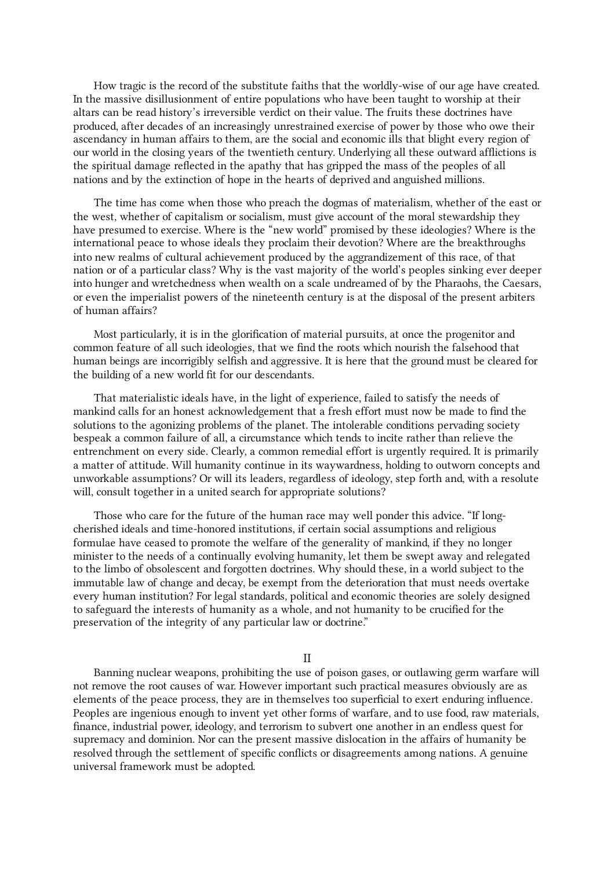How tragic is the record of the substitute faiths that the worldly-wise of our age have created. In the massive disillusionment of entire populations who have been taught to worship at their altars can be read history's irreversible verdict on their value. The fruits these doctrines have produced, after decades of an increasingly unrestrained exercise of power by those who owe their ascendancy in human affairs to them, are the social and economic ills that blight every region of our world in the closing years of the twentieth century. Underlying all these outward afflictions is the spiritual damage reflected in the apathy that has gripped the mass of the peoples of all nations and by the extinction of hope in the hearts of deprived and anguished millions.

The time has come when those who preach the dogmas of materialism, whether of the east or the west, whether of capitalism or socialism, must give account of the moral stewardship they have presumed to exercise. Where is the "new world" promised by these ideologies? Where is the international peace to whose ideals they proclaim their devotion? Where are the breakthroughs into new realms of cultural achievement produced by the aggrandizement of this race, of that nation or of a particular class? Why is the vast majority of the world's peoples sinking ever deeper into hunger and wretchedness when wealth on a scale undreamed of by the Pharaohs, the Caesars, or even the imperialist powers of the nineteenth century is at the disposal of the present arbiters of human affairs?

Most particularly, it is in the glorification of material pursuits, at once the progenitor and common feature of all such ideologies, that we find the roots which nourish the falsehood that human beings are incorrigibly selfish and aggressive. It is here that the ground must be cleared for the building of a new world fit for our descendants.

That materialistic ideals have, in the light of experience, failed to satisfy the needs of mankind calls for an honest acknowledgement that a fresh effort must now be made to find the solutions to the agonizing problems of the planet. The intolerable conditions pervading society bespeak a common failure of all, a circumstance which tends to incite rather than relieve the entrenchment on every side. Clearly, a common remedial effort is urgently required. It is primarily a matter of attitude. Will humanity continue in its waywardness, holding to outworn concepts and unworkable assumptions? Or will its leaders, regardless of ideology, step forth and, with a resolute will, consult together in a united search for appropriate solutions?

Those who care for the future of the human race may well ponder this advice. "If longcherished ideals and time-honored institutions, if certain social assumptions and religious formulae have ceased to promote the welfare of the generality of mankind, if they no longer minister to the needs of a continually evolving humanity, let them be swept away and relegated to the limbo of obsolescent and forgotten doctrines. Why should these, in a world subject to the immutable law of change and decay, be exempt from the deterioration that must needs overtake every human institution? For legal standards, political and economic theories are solely designed to safeguard the interests of humanity as a whole, and not humanity to be crucified for the preservation of the integrity of any particular law or doctrine."

## II

Banning nuclear weapons, prohibiting the use of poison gases, or outlawing germ warfare will not remove the root causes of war. However important such practical measures obviously are as elements of the peace process, they are in themselves too superficial to exert enduring influence. Peoples are ingenious enough to invent yet other forms of warfare, and to use food, raw materials, finance, industrial power, ideology, and terrorism to subvert one another in an endless quest for supremacy and dominion. Nor can the present massive dislocation in the affairs of humanity be resolved through the settlement of specific conflicts or disagreements among nations. A genuine universal framework must be adopted.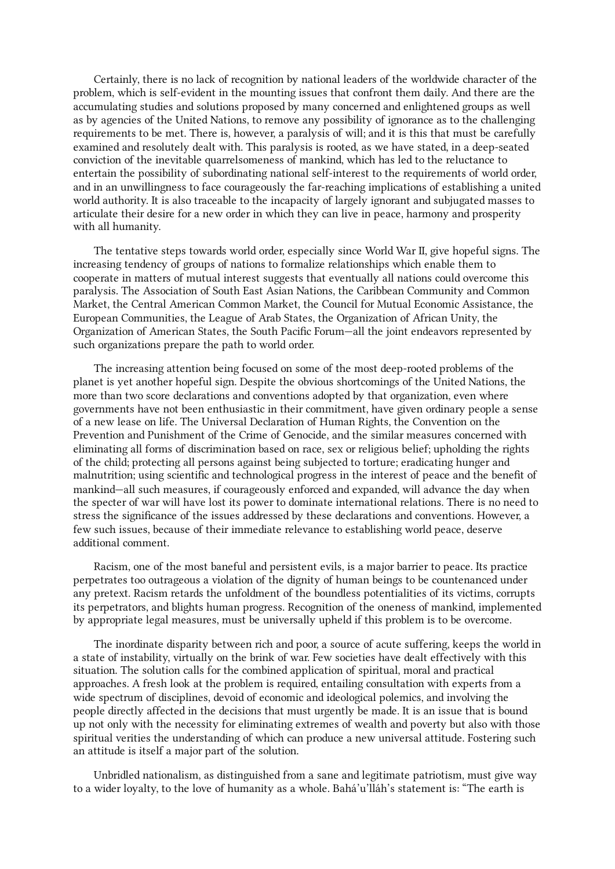Certainly, there is no lack of recognition by national leaders of the worldwide character of the problem, which is self-evident in the mounting issues that confront them daily. And there are the accumulating studies and solutions proposed by many concerned and enlightened groups as well as by agencies of the United Nations, to remove any possibility of ignorance as to the challenging requirements to be met. There is, however, a paralysis of will; and it is this that must be carefully examined and resolutely dealt with. This paralysis is rooted, as we have stated, in a deep-seated conviction of the inevitable quarrelsomeness of mankind, which has led to the reluctance to entertain the possibility of subordinating national self-interest to the requirements of world order, and in an unwillingness to face courageously the far-reaching implications of establishing a united world authority. It is also traceable to the incapacity of largely ignorant and subjugated masses to articulate their desire for a new order in which they can live in peace, harmony and prosperity with all humanity.

The tentative steps towards world order, especially since World War II, give hopeful signs. The increasing tendency of groups of nations to formalize relationships which enable them to cooperate in matters of mutual interest suggests that eventually all nations could overcome this paralysis. The Association of South East Asian Nations, the Caribbean Community and Common Market, the Central American Common Market, the Council for Mutual Economic Assistance, the European Communities, the League of Arab States, the Organization of African Unity, the Organization of American States, the South Pacific Forum—all the joint endeavors represented by such organizations prepare the path to world order.

The increasing attention being focused on some of the most deep-rooted problems of the planet is yet another hopeful sign. Despite the obvious shortcomings of the United Nations, the more than two score declarations and conventions adopted by that organization, even where governments have not been enthusiastic in their commitment, have given ordinary people a sense of a new lease on life. The Universal Declaration of Human Rights, the Convention on the Prevention and Punishment of the Crime of Genocide, and the similar measures concerned with eliminating all forms of discrimination based on race, sex or religious belief; upholding the rights of the child; protecting all persons against being subjected to torture; eradicating hunger and malnutrition; using scientific and technological progress in the interest of peace and the benefit of mankind—all such measures, if courageously enforced and expanded, will advance the day when the specter of war will have lost its power to dominate international relations. There is no need to stress the significance of the issues addressed by these declarations and conventions. However, a few such issues, because of their immediate relevance to establishing world peace, deserve additional comment.

Racism, one of the most baneful and persistent evils, is a major barrier to peace. Its practice perpetrates too outrageous a violation of the dignity of human beings to be countenanced under any pretext. Racism retards the unfoldment of the boundless potentialities of its victims, corrupts its perpetrators, and blights human progress. Recognition of the oneness of mankind, implemented by appropriate legal measures, must be universally upheld if this problem is to be overcome.

The inordinate disparity between rich and poor, a source of acute suffering, keeps the world in a state of instability, virtually on the brink of war. Few societies have dealt effectively with this situation. The solution calls for the combined application of spiritual, moral and practical approaches. A fresh look at the problem is required, entailing consultation with experts from a wide spectrum of disciplines, devoid of economic and ideological polemics, and involving the people directly affected in the decisions that must urgently be made. It is an issue that is bound up not only with the necessity for eliminating extremes of wealth and poverty but also with those spiritual verities the understanding of which can produce a new universal attitude. Fostering such an attitude is itself a major part of the solution.

Unbridled nationalism, as distinguished from a sane and legitimate patriotism, must give way to a wider loyalty, to the love of humanity as a whole. Bahá'u'lláh's statement is: "The earth is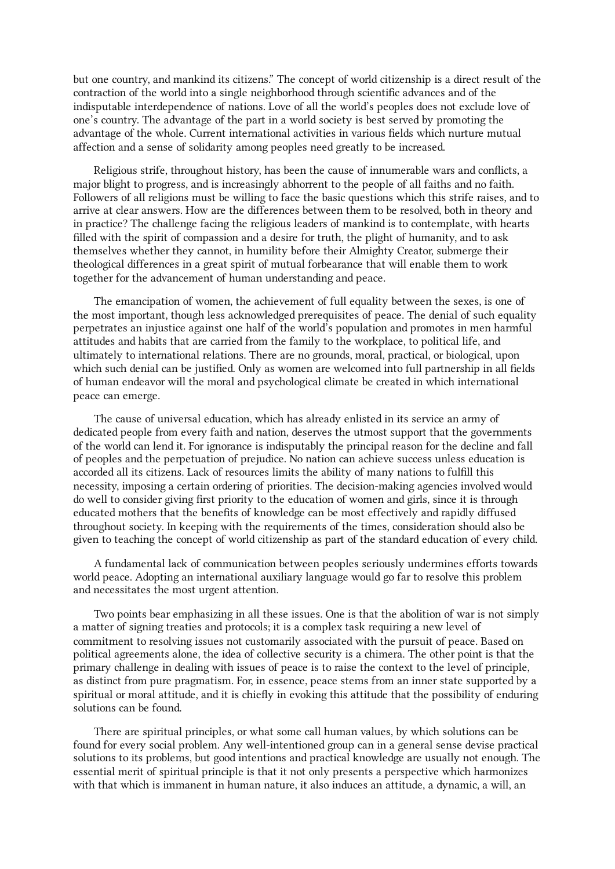but one country, and mankind its citizens." The concept of world citizenship is a direct result of the contraction of the world into a single neighborhood through scientific advances and of the indisputable interdependence of nations. Love of all the world's peoples does not exclude love of one's country. The advantage of the part in a world society is best served by promoting the advantage of the whole. Current international activities in various fields which nurture mutual affection and a sense of solidarity among peoples need greatly to be increased.

Religious strife, throughout history, has been the cause of innumerable wars and conflicts, a major blight to progress, and is increasingly abhorrent to the people of all faiths and no faith. Followers of all religions must be willing to face the basic questions which this strife raises, and to arrive at clear answers. How are the differences between them to be resolved, both in theory and in practice? The challenge facing the religious leaders of mankind is to contemplate, with hearts filled with the spirit of compassion and a desire for truth, the plight of humanity, and to ask themselves whether they cannot, in humility before their Almighty Creator, submerge their theological differences in a great spirit of mutual forbearance that will enable them to work together for the advancement of human understanding and peace.

The emancipation of women, the achievement of full equality between the sexes, is one of the most important, though less acknowledged prerequisites of peace. The denial of such equality perpetrates an injustice against one half of the world's population and promotes in men harmful attitudes and habits that are carried from the family to the workplace, to political life, and ultimately to international relations. There are no grounds, moral, practical, or biological, upon which such denial can be justified. Only as women are welcomed into full partnership in all fields of human endeavor will the moral and psychological climate be created in which international peace can emerge.

The cause of universal education, which has already enlisted in its service an army of dedicated people from every faith and nation, deserves the utmost support that the governments of the world can lend it. For ignorance is indisputably the principal reason for the decline and fall of peoples and the perpetuation of prejudice. No nation can achieve success unless education is accorded all its citizens. Lack of resources limits the ability of many nations to fulfill this necessity, imposing a certain ordering of priorities. The decision-making agencies involved would do well to consider giving first priority to the education of women and girls, since it is through educated mothers that the benefits of knowledge can be most effectively and rapidly diffused throughout society. In keeping with the requirements of the times, consideration should also be given to teaching the concept of world citizenship as part of the standard education of every child.

A fundamental lack of communication between peoples seriously undermines efforts towards world peace. Adopting an international auxiliary language would go far to resolve this problem and necessitates the most urgent attention.

Two points bear emphasizing in all these issues. One is that the abolition of war is not simply a matter of signing treaties and protocols; it is a complex task requiring a new level of commitment to resolving issues not customarily associated with the pursuit of peace. Based on political agreements alone, the idea of collective security is a chimera. The other point is that the primary challenge in dealing with issues of peace is to raise the context to the level of principle, as distinct from pure pragmatism. For, in essence, peace stems from an inner state supported by a spiritual or moral attitude, and it is chiefly in evoking this attitude that the possibility of enduring solutions can be found.

There are spiritual principles, or what some call human values, by which solutions can be found for every social problem. Any well-intentioned group can in a general sense devise practical solutions to its problems, but good intentions and practical knowledge are usually not enough. The essential merit of spiritual principle is that it not only presents a perspective which harmonizes with that which is immanent in human nature, it also induces an attitude, a dynamic, a will, an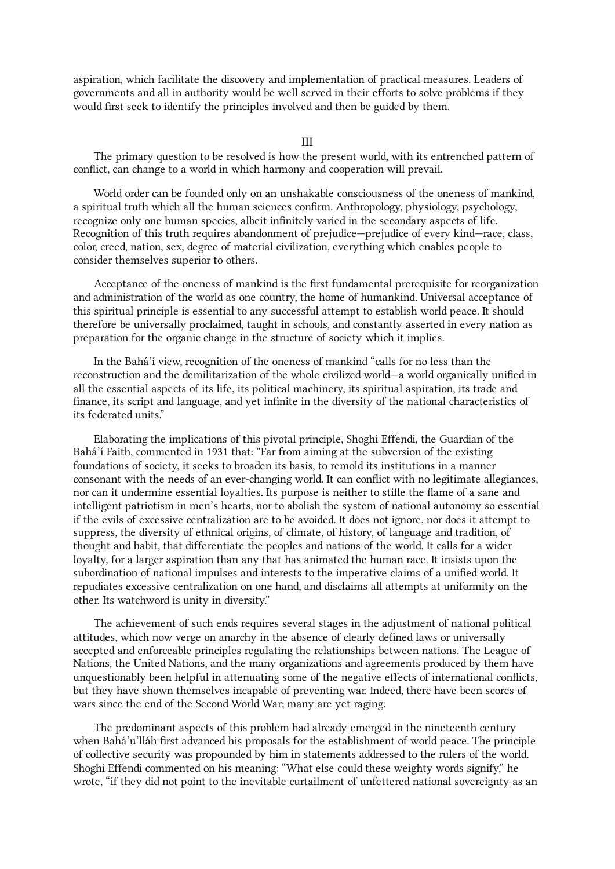aspiration, which facilitate the discovery and implementation of practical measures. Leaders of governments and all in authority would be well served in their efforts to solve problems if they would first seek to identify the principles involved and then be guided by them.

III

The primary question to be resolved is how the present world, with its entrenched pattern of conflict, can change to a world in which harmony and cooperation will prevail.

World order can be founded only on an unshakable consciousness of the oneness of mankind, a spiritual truth which all the human sciences confirm. Anthropology, physiology, psychology, recognize only one human species, albeit infinitely varied in the secondary aspects of life. Recognition of this truth requires abandonment of prejudice—prejudice of every kind—race, class, color, creed, nation, sex, degree of material civilization, everything which enables people to consider themselves superior to others.

Acceptance of the oneness of mankind is the first fundamental prerequisite for reorganization and administration of the world as one country, the home of humankind. Universal acceptance of this spiritual principle is essential to any successful attempt to establish world peace. It should therefore be universally proclaimed, taught in schools, and constantly asserted in every nation as preparation for the organic change in the structure of society which it implies.

In the Bahá'í view, recognition of the oneness of mankind "calls for no less than the reconstruction and the demilitarization of the whole civilized world—a world organically unified in all the essential aspects of its life, its political machinery, its spiritual aspiration, its trade and finance, its script and language, and yet infinite in the diversity of the national characteristics of its federated units."

Elaborating the implications of this pivotal principle, Shoghi Effendi, the Guardian of the Bahá'í Faith, commented in 1931 that: "Far from aiming at the subversion of the existing foundations of society, it seeks to broaden its basis, to remold its institutions in a manner consonant with the needs of an ever-changing world. It can conflict with no legitimate allegiances, nor can it undermine essential loyalties. Its purpose is neither to stifle the flame of a sane and intelligent patriotism in men's hearts, nor to abolish the system of national autonomy so essential if the evils of excessive centralization are to be avoided. It does not ignore, nor does it attempt to suppress, the diversity of ethnical origins, of climate, of history, of language and tradition, of thought and habit, that differentiate the peoples and nations of the world. It calls for a wider loyalty, for a larger aspiration than any that has animated the human race. It insists upon the subordination of national impulses and interests to the imperative claims of a unified world. It repudiates excessive centralization on one hand, and disclaims all attempts at uniformity on the other. Its watchword is unity in diversity."

The achievement of such ends requires several stages in the adjustment of national political attitudes, which now verge on anarchy in the absence of clearly defined laws or universally accepted and enforceable principles regulating the relationships between nations. The League of Nations, the United Nations, and the many organizations and agreements produced by them have unquestionably been helpful in attenuating some of the negative effects of international conflicts, but they have shown themselves incapable of preventing war. Indeed, there have been scores of wars since the end of the Second World War; many are yet raging.

The predominant aspects of this problem had already emerged in the nineteenth century when Bahá'u'lláh first advanced his proposals for the establishment of world peace. The principle of collective security was propounded by him in statements addressed to the rulers of the world. Shoghi Effendi commented on his meaning: "What else could these weighty words signify," he wrote, "if they did not point to the inevitable curtailment of unfettered national sovereignty as an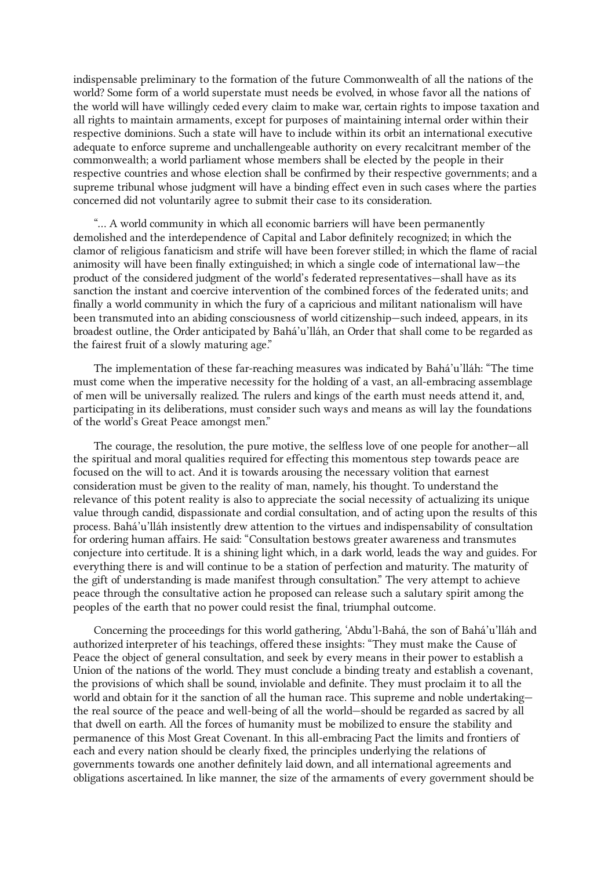indispensable preliminary to the formation of the future Commonwealth of all the nations of the world? Some form of a world superstate must needs be evolved, in whose favor all the nations of the world will have willingly ceded every claim to make war, certain rights to impose taxation and all rights to maintain armaments, except for purposes of maintaining internal order within their respective dominions. Such a state will have to include within its orbit an international executive adequate to enforce supreme and unchallengeable authority on every recalcitrant member of the commonwealth; a world parliament whose members shall be elected by the people in their respective countries and whose election shall be confirmed by their respective governments; and a supreme tribunal whose judgment will have a binding effect even in such cases where the parties concerned did not voluntarily agree to submit their case to its consideration.

"… A world community in which all economic barriers will have been permanently demolished and the interdependence of Capital and Labor definitely recognized; in which the clamor of religious fanaticism and strife will have been forever stilled; in which the flame of racial animosity will have been finally extinguished; in which a single code of international law—the product of the considered judgment of the world's federated representatives—shall have as its sanction the instant and coercive intervention of the combined forces of the federated units; and finally a world community in which the fury of a capricious and militant nationalism will have been transmuted into an abiding consciousness of world citizenship—such indeed, appears, in its broadest outline, the Order anticipated by Bahá'u'lláh, an Order that shall come to be regarded as the fairest fruit of a slowly maturing age."

The implementation of these far-reaching measures was indicated by Bahá'u'lláh: "The time must come when the imperative necessity for the holding of a vast, an all-embracing assemblage of men will be universally realized. The rulers and kings of the earth must needs attend it, and, participating in its deliberations, must consider such ways and means as will lay the foundations of the world's Great Peace amongst men."

The courage, the resolution, the pure motive, the selfless love of one people for another—all the spiritual and moral qualities required for effecting this momentous step towards peace are focused on the will to act. And it is towards arousing the necessary volition that earnest consideration must be given to the reality of man, namely, his thought. To understand the relevance of this potent reality is also to appreciate the social necessity of actualizing its unique value through candid, dispassionate and cordial consultation, and of acting upon the results of this process. Bahá'u'lláh insistently drew attention to the virtues and indispensability of consultation for ordering human affairs. He said: "Consultation bestows greater awareness and transmutes conjecture into certitude. It is a shining light which, in a dark world, leads the way and guides. For everything there is and will continue to be a station of perfection and maturity. The maturity of the gift of understanding is made manifest through consultation." The very attempt to achieve peace through the consultative action he proposed can release such a salutary spirit among the peoples of the earth that no power could resist the final, triumphal outcome.

Concerning the proceedings for this world gathering, 'Abdu'l‑Bahá, the son of Bahá'u'lláh and authorized interpreter of his teachings, offered these insights: "They must make the Cause of Peace the object of general consultation, and seek by every means in their power to establish a Union of the nations of the world. They must conclude a binding treaty and establish a covenant, the provisions of which shall be sound, inviolable and definite. They must proclaim it to all the world and obtain for it the sanction of all the human race. This supreme and noble undertaking the real source of the peace and well-being of all the world—should be regarded as sacred by all that dwell on earth. All the forces of humanity must be mobilized to ensure the stability and permanence of this Most Great Covenant. In this all-embracing Pact the limits and frontiers of each and every nation should be clearly fixed, the principles underlying the relations of governments towards one another definitely laid down, and all international agreements and obligations ascertained. In like manner, the size of the armaments of every government should be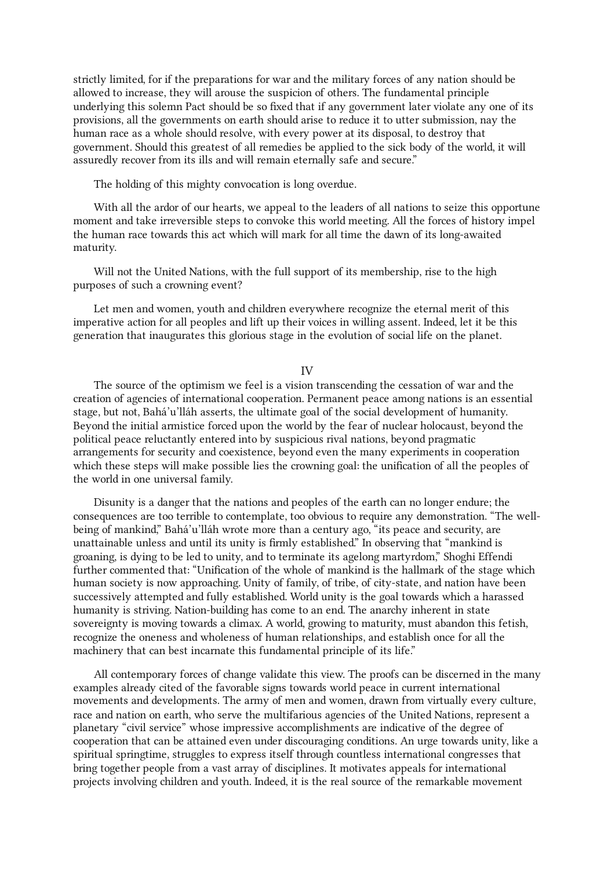strictly limited, for if the preparations for war and the military forces of any nation should be allowed to increase, they will arouse the suspicion of others. The fundamental principle underlying this solemn Pact should be so fixed that if any government later violate any one of its provisions, all the governments on earth should arise to reduce it to utter submission, nay the human race as a whole should resolve, with every power at its disposal, to destroy that government. Should this greatest of all remedies be applied to the sick body of the world, it will assuredly recover from its ills and will remain eternally safe and secure."

The holding of this mighty convocation is long overdue.

With all the ardor of our hearts, we appeal to the leaders of all nations to seize this opportune moment and take irreversible steps to convoke this world meeting. All the forces of history impel the human race towards this act which will mark for all time the dawn of its long-awaited maturity.

Will not the United Nations, with the full support of its membership, rise to the high purposes of such a crowning event?

Let men and women, youth and children everywhere recognize the eternal merit of this imperative action for all peoples and lift up their voices in willing assent. Indeed, let it be this generation that inaugurates this glorious stage in the evolution of social life on the planet.

IV

The source of the optimism we feel is a vision transcending the cessation of war and the creation of agencies of international cooperation. Permanent peace among nations is an essential stage, but not, Bahá'u'lláh asserts, the ultimate goal of the social development of humanity. Beyond the initial armistice forced upon the world by the fear of nuclear holocaust, beyond the political peace reluctantly entered into by suspicious rival nations, beyond pragmatic arrangements for security and coexistence, beyond even the many experiments in cooperation which these steps will make possible lies the crowning goal: the unification of all the peoples of the world in one universal family.

Disunity is a danger that the nations and peoples of the earth can no longer endure; the consequences are too terrible to contemplate, too obvious to require any demonstration. "The wellbeing of mankind," Bahá'u'lláh wrote more than a century ago, "its peace and security, are unattainable unless and until its unity is firmly established." In observing that "mankind is groaning, is dying to be led to unity, and to terminate its agelong martyrdom," Shoghi Effendi further commented that: "Unification of the whole of mankind is the hallmark of the stage which human society is now approaching. Unity of family, of tribe, of city-state, and nation have been successively attempted and fully established. World unity is the goal towards which a harassed humanity is striving. Nation-building has come to an end. The anarchy inherent in state sovereignty is moving towards a climax. A world, growing to maturity, must abandon this fetish, recognize the oneness and wholeness of human relationships, and establish once for all the machinery that can best incarnate this fundamental principle of its life."

All contemporary forces of change validate this view. The proofs can be discerned in the many examples already cited of the favorable signs towards world peace in current international movements and developments. The army of men and women, drawn from virtually every culture, race and nation on earth, who serve the multifarious agencies of the United Nations, represent a planetary "civil service" whose impressive accomplishments are indicative of the degree of cooperation that can be attained even under discouraging conditions. An urge towards unity, like a spiritual springtime, struggles to express itself through countless international congresses that bring together people from a vast array of disciplines. It motivates appeals for international projects involving children and youth. Indeed, it is the real source of the remarkable movement